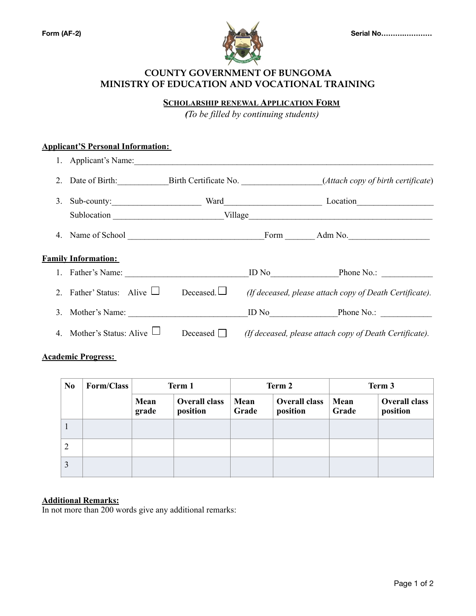

## **COUNTY GOVERNMENT OF BUNGOMA MINISTRY OF EDUCATION AND VOCATIONAL TRAINING**

**SCHOLARSHIP RENEWAL APPLICATION FORM** 

*(To be filled by continuing students)*

## **Applicant'S Personal Information:**

|                | 1. Applicant's Name:            |                  |  |                                                                         |  |
|----------------|---------------------------------|------------------|--|-------------------------------------------------------------------------|--|
|                |                                 |                  |  | Date of Birth: Birth Certificate No. (Attach copy of birth certificate) |  |
| 3.             |                                 |                  |  |                                                                         |  |
|                |                                 |                  |  |                                                                         |  |
| 4.             |                                 |                  |  | Form Adm No.                                                            |  |
|                | <b>Family Information:</b>      |                  |  |                                                                         |  |
|                | 1. Father's Name:               |                  |  | ID No Phone No.:                                                        |  |
|                | 2. Father' Status: Alive $\Box$ | Deceased. $\Box$ |  | (If deceased, please attach copy of Death Certificate).                 |  |
|                | 3. Mother's Name:               |                  |  | ID No Phone No.:                                                        |  |
| $\overline{4}$ | Mother's Status: Alive          | Deceased         |  | (If deceased, please attach copy of Death Certificate).                 |  |

#### **Academic Progress:**

| N <sub>0</sub> | Form/Class | Term 1        |                                  | Term 2        |                                  | Term 3        |                           |
|----------------|------------|---------------|----------------------------------|---------------|----------------------------------|---------------|---------------------------|
|                |            | Mean<br>grade | <b>Overall class</b><br>position | Mean<br>Grade | <b>Overall class</b><br>position | Mean<br>Grade | Overall class<br>position |
|                |            |               |                                  |               |                                  |               |                           |
| 2              |            |               |                                  |               |                                  |               |                           |
| 3              |            |               |                                  |               |                                  |               |                           |

### **Additional Remarks:**

In not more than 200 words give any additional remarks: